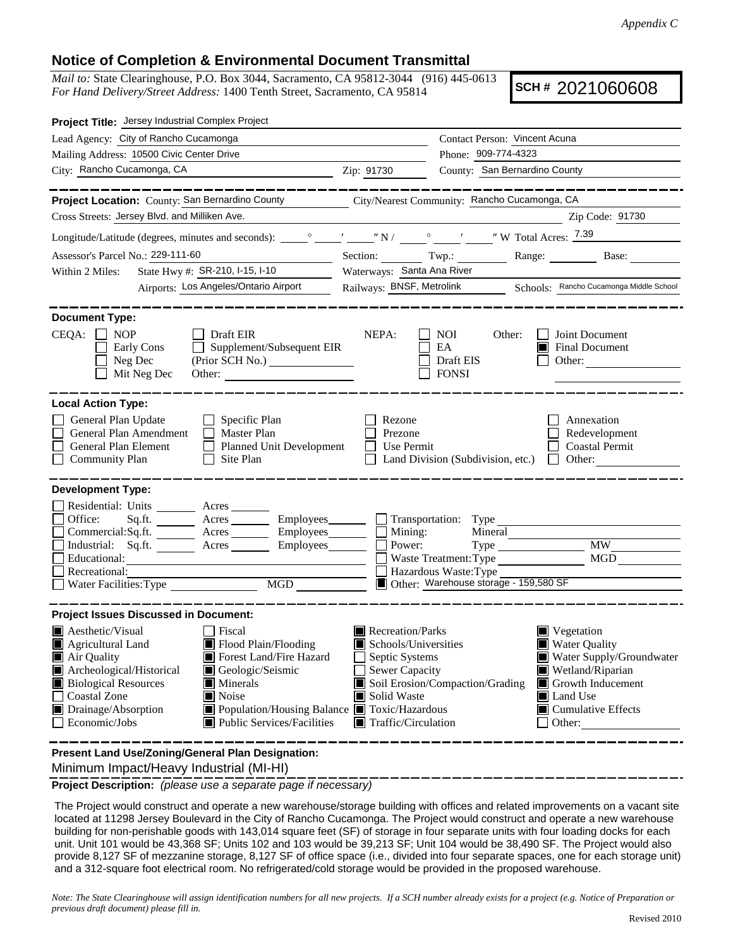## **Notice of Completion & Environmental Document Transmittal**

*Mail to:* State Clearinghouse, P.O. Box 3044, Sacramento, CA 95812-3044 (916) 445-0613 *For Hand Delivery/Street Address:* 1400 Tenth Street, Sacramento, CA 95814

**SCH #** 2021060608

| Project Title: Jersey Industrial Complex Project                                                                                                                                                                                                                                                                                                                                 |                                                                                                                                                                                                                                                                                                                                           |                                                                                                    |                                                                       |  |
|----------------------------------------------------------------------------------------------------------------------------------------------------------------------------------------------------------------------------------------------------------------------------------------------------------------------------------------------------------------------------------|-------------------------------------------------------------------------------------------------------------------------------------------------------------------------------------------------------------------------------------------------------------------------------------------------------------------------------------------|----------------------------------------------------------------------------------------------------|-----------------------------------------------------------------------|--|
| Lead Agency: City of Rancho Cucamonga                                                                                                                                                                                                                                                                                                                                            | Contact Person: Vincent Acuna                                                                                                                                                                                                                                                                                                             |                                                                                                    |                                                                       |  |
| Mailing Address: 10500 Civic Center Drive                                                                                                                                                                                                                                                                                                                                        |                                                                                                                                                                                                                                                                                                                                           | Phone: 909-774-4323                                                                                |                                                                       |  |
| City: Rancho Cucamonga, CA                                                                                                                                                                                                                                                                                                                                                       | Zip: 91730                                                                                                                                                                                                                                                                                                                                | County: San Bernardino County                                                                      |                                                                       |  |
|                                                                                                                                                                                                                                                                                                                                                                                  |                                                                                                                                                                                                                                                                                                                                           |                                                                                                    |                                                                       |  |
| Project Location: County: San Bernardino County                                                                                                                                                                                                                                                                                                                                  |                                                                                                                                                                                                                                                                                                                                           | City/Nearest Community: Rancho Cucamonga, CA                                                       |                                                                       |  |
| Cross Streets: Jersey Blvd. and Milliken Ave.                                                                                                                                                                                                                                                                                                                                    |                                                                                                                                                                                                                                                                                                                                           |                                                                                                    | Zip Code: 91730                                                       |  |
|                                                                                                                                                                                                                                                                                                                                                                                  |                                                                                                                                                                                                                                                                                                                                           |                                                                                                    |                                                                       |  |
| Assessor's Parcel No.: 229-111-60                                                                                                                                                                                                                                                                                                                                                |                                                                                                                                                                                                                                                                                                                                           |                                                                                                    | Section: Twp.: Range: Base:                                           |  |
| State Hwy #: SR-210, I-15, I-10<br>Within 2 Miles:                                                                                                                                                                                                                                                                                                                               | Waterways: Santa Ana River                                                                                                                                                                                                                                                                                                                |                                                                                                    |                                                                       |  |
| Airports: Los Angeles/Ontario Airport                                                                                                                                                                                                                                                                                                                                            | Railways: BNSF, Metrolink Schools: Rancho Cucamonga Middle School                                                                                                                                                                                                                                                                         |                                                                                                    |                                                                       |  |
| <b>Document Type:</b><br>$CEQA: \Box NOP$<br>$\Box$ Draft EIR<br>Supplement/Subsequent EIR<br>Early Cons<br>Neg Dec<br>(Prior SCH No.)<br>Mit Neg Dec<br>Other:                                                                                                                                                                                                                  | NEPA:                                                                                                                                                                                                                                                                                                                                     | NOI<br>Other:<br>EA<br>Draft EIS<br><b>FONSI</b>                                                   | Joint Document<br><b>E</b> Final Document<br>Other:                   |  |
| <b>Local Action Type:</b><br>General Plan Update<br>$\Box$ Specific Plan<br>General Plan Amendment<br>Master Plan<br>General Plan Element<br>Planned Unit Development<br><b>Community Plan</b><br>Site Plan<br>$\Box$                                                                                                                                                            | Rezone<br>Prezone<br>Use Permit                                                                                                                                                                                                                                                                                                           | Land Division (Subdivision, etc.)                                                                  | Annexation<br>Redevelopment<br><b>Coastal Permit</b><br>$\Box$ Other: |  |
| <b>Development Type:</b><br>Residential: Units ________ Acres _______<br>Sq.ft. ________ Acres __________ Employees________ ___ Transportation: Type __________<br>Office:<br>Commercial:Sq.ft. ________ Acres _________ Employees ________ $\Box$<br>Acres Employees<br>Industrial: Sq.ft.<br>Educational:<br>Recreational:<br>Water Facilities: Type MGD                       | Mining:<br>Power:                                                                                                                                                                                                                                                                                                                         | Mineral<br>Waste Treatment: Type<br>Hazardous Waste: Type<br>Other: Warehouse storage - 159,580 SF | <b>MW</b><br>MGD                                                      |  |
| <b>Project Issues Discussed in Document:</b><br>$\blacksquare$ Aesthetic/Visual<br><b>Fiscal</b>                                                                                                                                                                                                                                                                                 | Recreation/Parks                                                                                                                                                                                                                                                                                                                          |                                                                                                    | $\blacksquare$ Vegetation                                             |  |
| Flood Plain/Flooding<br>Agricultural Land<br>Forest Land/Fire Hazard<br>Air Quality<br>Archeological/Historical<br>Geologic/Seismic<br><b>Biological Resources</b><br>Minerals<br>Noise<br>Coastal Zone<br>Population/Housing Balance Toxic/Hazardous<br>Drainage/Absorption<br>Public Services/Facilities<br>Economic/Jobs<br>Present Land Use/Zoning/General Plan Designation: | <b>Water Quality</b><br>Schools/Universities<br>Septic Systems<br>Water Supply/Groundwater<br>Sewer Capacity<br>Wetland/Riparian<br>Soil Erosion/Compaction/Grading<br>$\blacksquare$ Growth Inducement<br>Solid Waste<br>Land Use<br>$\blacksquare$ Cumulative Effects<br>$\blacksquare$ Traffic/Circulation<br>$\Box$ Other:<br>_______ |                                                                                                    |                                                                       |  |
|                                                                                                                                                                                                                                                                                                                                                                                  |                                                                                                                                                                                                                                                                                                                                           |                                                                                                    |                                                                       |  |

Minimum Impact/Heavy Industrial (MI-HI)

**Project Description:** *(please use a separate page if necessary)*

 The Project would construct and operate a new warehouse/storage building with offices and related improvements on a vacant site located at 11298 Jersey Boulevard in the City of Rancho Cucamonga. The Project would construct and operate a new warehouse building for non-perishable goods with 143,014 square feet (SF) of storage in four separate units with four loading docks for each unit. Unit 101 would be 43,368 SF; Units 102 and 103 would be 39,213 SF; Unit 104 would be 38,490 SF. The Project would also provide 8,127 SF of mezzanine storage, 8,127 SF of office space (i.e., divided into four separate spaces, one for each storage unit) and a 312-square foot electrical room. No refrigerated/cold storage would be provided in the proposed warehouse.

*Note: The State Clearinghouse will assign identification numbers for all new projects. If a SCH number already exists for a project (e.g. Notice of Preparation or previous draft document) please fill in.*